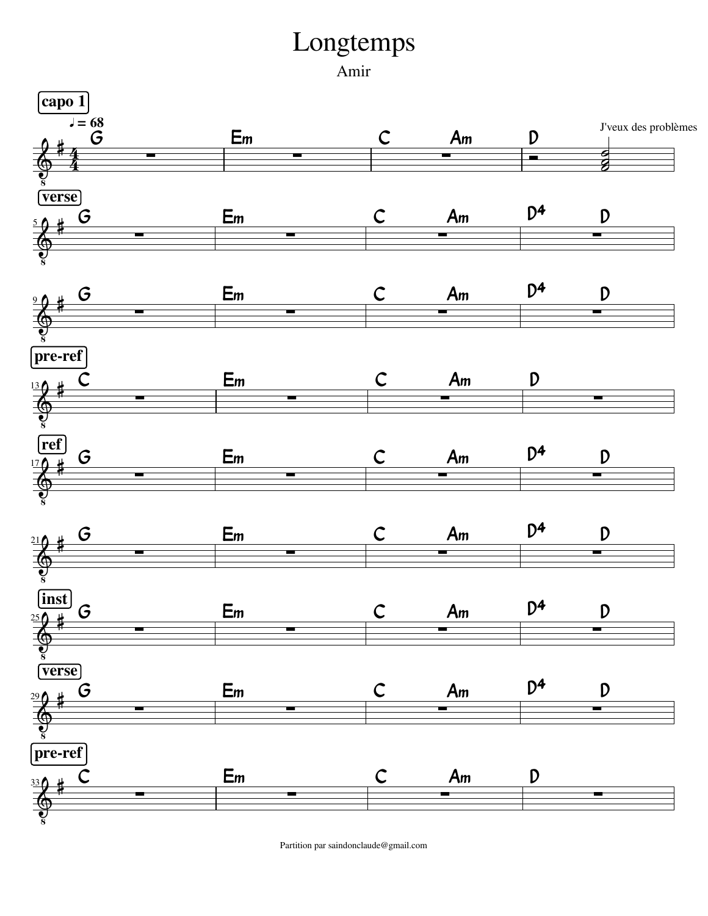## Longtemps

Amir



Partition par saindonclaude@gmail.com